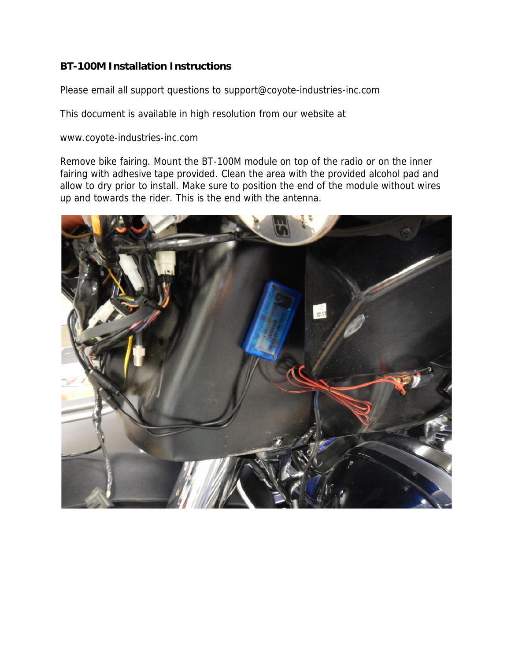## **BT-100M Installation Instructions**

Please email all support questions to *support@coyote-industries-inc.com*

This document is available in high resolution from our website at

www.coyote-industries-inc.com

Remove bike fairing. Mount the BT-100M module on top of the radio or on the inner fairing with adhesive tape provided. Clean the area with the provided alcohol pad and allow to dry prior to install. Make sure to position the end of the module without wires up and towards the rider. This is the end with the antenna.

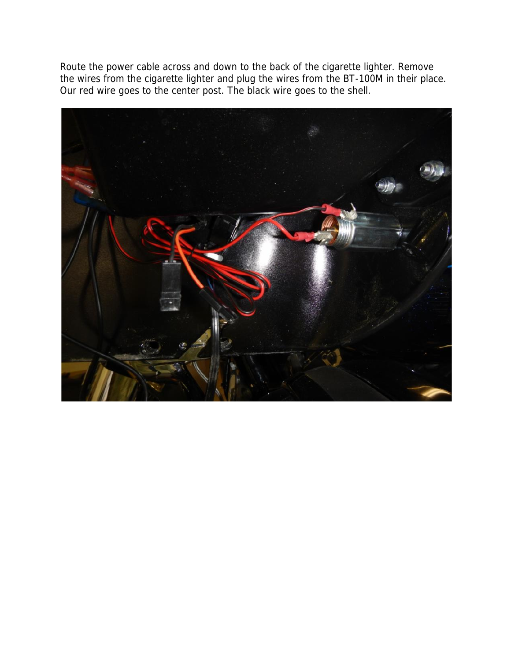Route the power cable across and down to the back of the cigarette lighter. Remove the wires from the cigarette lighter and plug the wires from the BT-100M in their place. Our red wire goes to the center post. The black wire goes to the shell.

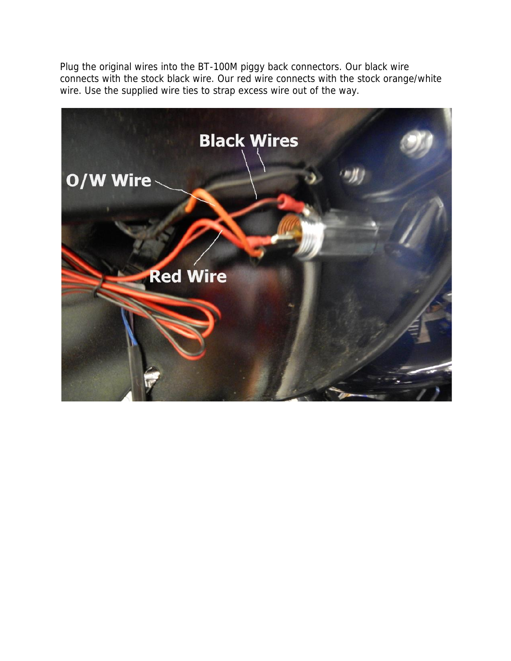Plug the original wires into the BT-100M piggy back connectors. Our black wire connects with the stock black wire. Our red wire connects with the stock orange/white wire. Use the supplied wire ties to strap excess wire out of the way.